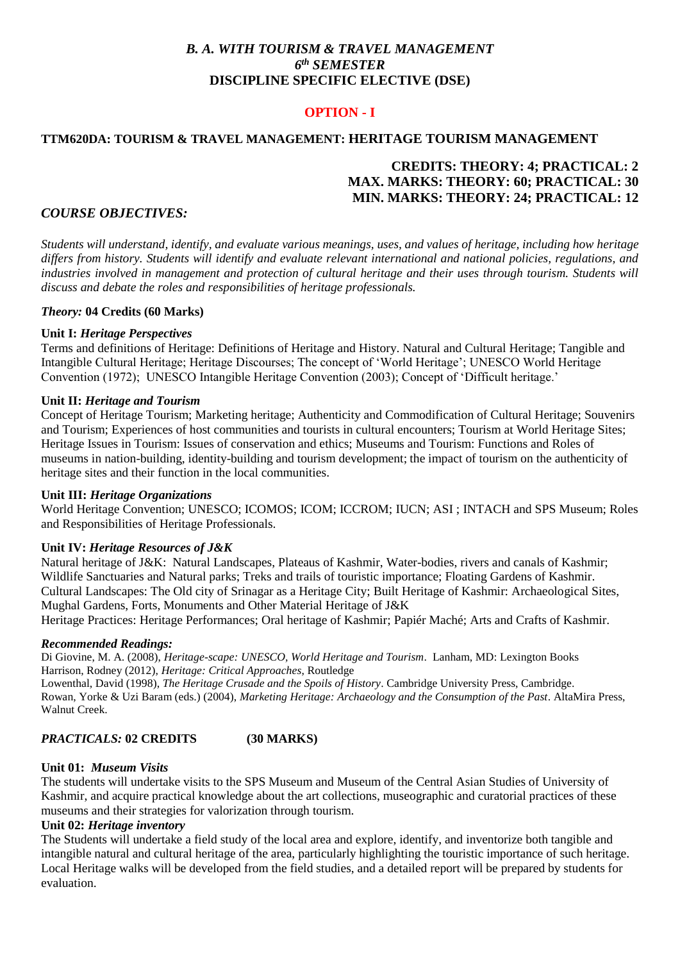# *B. A. WITH TOURISM & TRAVEL MANAGEMENT 6 th SEMESTER* **DISCIPLINE SPECIFIC ELECTIVE (DSE)**

# **OPTION - I**

## **TTM620DA: TOURISM & TRAVEL MANAGEMENT: HERITAGE TOURISM MANAGEMENT**

# **CREDITS: THEORY: 4; PRACTICAL: 2 MAX. MARKS: THEORY: 60; PRACTICAL: 30 MIN. MARKS: THEORY: 24; PRACTICAL: 12**

### *COURSE OBJECTIVES:*

*Students will understand, identify, and evaluate various meanings, uses, and values of heritage, including how heritage differs from history. Students will identify and evaluate relevant international and national policies, regulations, and industries involved in management and protection of cultural heritage and their uses through tourism. Students will discuss and debate the roles and responsibilities of heritage professionals.*

#### *Theory:* **04 Credits (60 Marks)**

#### **Unit I:** *Heritage Perspectives*

Terms and definitions of Heritage: Definitions of Heritage and History. Natural and Cultural Heritage; Tangible and Intangible Cultural Heritage; Heritage Discourses; The concept of 'World Heritage'; UNESCO World Heritage Convention (1972); UNESCO Intangible Heritage Convention (2003); Concept of 'Difficult heritage.'

#### **Unit II:** *Heritage and Tourism*

Concept of Heritage Tourism; Marketing heritage; Authenticity and Commodification of Cultural Heritage; Souvenirs and Tourism; Experiences of host communities and tourists in cultural encounters; Tourism at World Heritage Sites; Heritage Issues in Tourism: Issues of conservation and ethics; Museums and Tourism: Functions and Roles of museums in nation-building, identity-building and tourism development; the impact of tourism on the authenticity of heritage sites and their function in the local communities.

#### **Unit III:** *Heritage Organizations*

World Heritage Convention; UNESCO; ICOMOS; ICOM; ICCROM; IUCN; ASI ; INTACH and SPS Museum; Roles and Responsibilities of Heritage Professionals.

#### **Unit IV:** *Heritage Resources of J&K*

Natural heritage of J&K: Natural Landscapes, Plateaus of Kashmir, Water-bodies, rivers and canals of Kashmir; Wildlife Sanctuaries and Natural parks; Treks and trails of touristic importance; Floating Gardens of Kashmir. Cultural Landscapes: The Old city of Srinagar as a Heritage City; Built Heritage of Kashmir: Archaeological Sites, Mughal Gardens, Forts, Monuments and Other Material Heritage of J&K

Heritage Practices: Heritage Performances; Oral heritage of Kashmir; Papiér Maché; Arts and Crafts of Kashmir.

#### *Recommended Readings:*

Di Giovine, M. A. (2008), *Heritage-scape: UNESCO, World Heritage and Tourism*. Lanham, MD: Lexington Books Harrison, Rodney (2012), *Heritage: Critical Approaches*, Routledge

Lowenthal, David (1998), *The Heritage Crusade and the Spoils of History*. Cambridge University Press, Cambridge. Rowan, Yorke & Uzi Baram (eds.) (2004), *Marketing Heritage: Archaeology and the Consumption of the Past*. AltaMira Press, Walnut Creek.

# *PRACTICALS:* **02 CREDITS (30 MARKS)**

#### **Unit 01:** *Museum Visits*

The students will undertake visits to the SPS Museum and Museum of the Central Asian Studies of University of Kashmir, and acquire practical knowledge about the art collections, museographic and curatorial practices of these museums and their strategies for valorization through tourism.

### **Unit 02:** *Heritage inventory*

The Students will undertake a field study of the local area and explore, identify, and inventorize both tangible and intangible natural and cultural heritage of the area, particularly highlighting the touristic importance of such heritage. Local Heritage walks will be developed from the field studies, and a detailed report will be prepared by students for evaluation.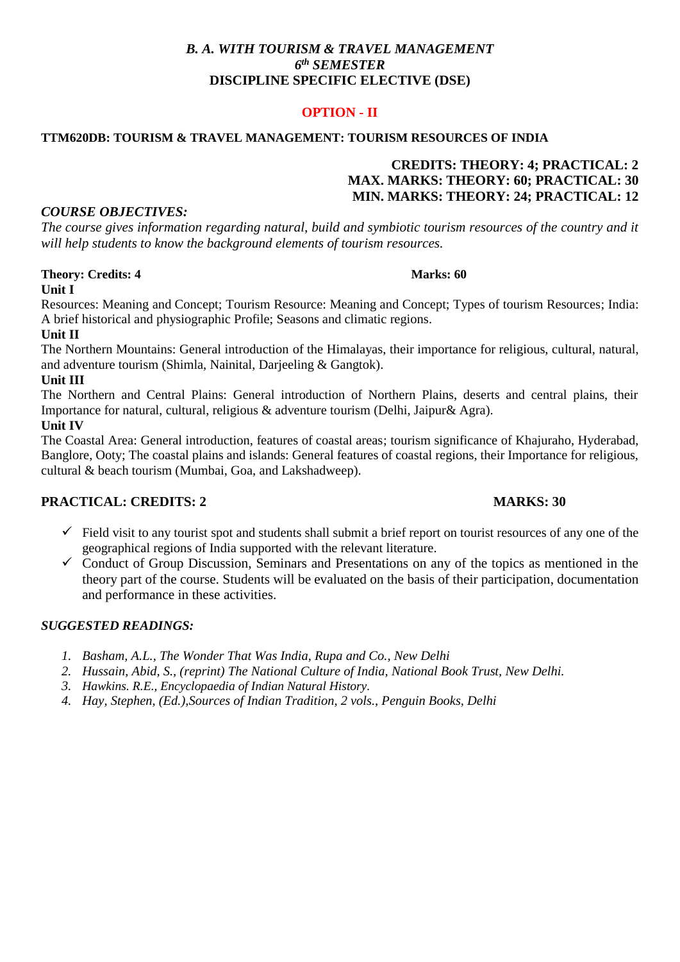# *B. A. WITH TOURISM & TRAVEL MANAGEMENT 6 th SEMESTER* **DISCIPLINE SPECIFIC ELECTIVE (DSE)**

# **OPTION - II**

#### **TTM620DB: TOURISM & TRAVEL MANAGEMENT: TOURISM RESOURCES OF INDIA**

# **CREDITS: THEORY: 4; PRACTICAL: 2 MAX. MARKS: THEORY: 60; PRACTICAL: 30 MIN. MARKS: THEORY: 24; PRACTICAL: 12**

### *COURSE OBJECTIVES:*

*The course gives information regarding natural, build and symbiotic tourism resources of the country and it will help students to know the background elements of tourism resources.* 

# **Theory: Credits: 4 Marks: 60**

### **Unit I**

Resources: Meaning and Concept; Tourism Resource: Meaning and Concept; Types of tourism Resources; India: A brief historical and physiographic Profile; Seasons and climatic regions.

## **Unit II**

The Northern Mountains: General introduction of the Himalayas, their importance for religious, cultural, natural, and adventure tourism (Shimla, Nainital, Darjeeling & Gangtok).

### **Unit III**

The Northern and Central Plains: General introduction of Northern Plains, deserts and central plains, their Importance for natural, cultural, religious & adventure tourism (Delhi, Jaipur& Agra). **Unit IV**

The Coastal Area: General introduction, features of coastal areas; tourism significance of Khajuraho, Hyderabad, Banglore, Ooty; The coastal plains and islands: General features of coastal regions, their Importance for religious, cultural & beach tourism (Mumbai, Goa, and Lakshadweep).

## **PRACTICAL: CREDITS: 2 MARKS: 30**

- $\checkmark$  Field visit to any tourist spot and students shall submit a brief report on tourist resources of any one of the geographical regions of India supported with the relevant literature.
- $\checkmark$  Conduct of Group Discussion, Seminars and Presentations on any of the topics as mentioned in the theory part of the course. Students will be evaluated on the basis of their participation, documentation and performance in these activities.

## *SUGGESTED READINGS:*

- *1. Basham, A.L., The Wonder That Was India, Rupa and Co., New Delhi*
- *2. Hussain, Abid, S., (reprint) The National Culture of India, National Book Trust, New Delhi.*
- *3. Hawkins. R.E., Encyclopaedia of Indian Natural History.*
- *4. Hay, Stephen, (Ed.),Sources of Indian Tradition, 2 vols., Penguin Books, Delhi*